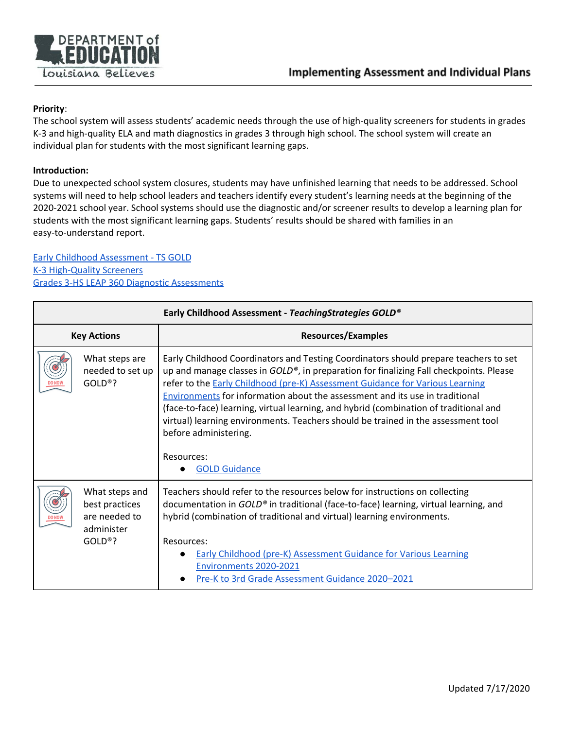

## **Priority**:

The school system will assess students' academic needs through the use of high-quality screeners for students in grades K-3 and high-quality ELA and math diagnostics in grades 3 through high school. The school system will create an individual plan for students with the most significant learning gaps.

## **Introduction:**

Due to unexpected school system closures, students may have unfinished learning that needs to be addressed. School systems will need to help school leaders and teachers identify every student's learning needs at the beginning of the 2020-2021 school year. School systems should use the diagnostic and/or screener results to develop a learning plan for students with the most significant learning gaps. Students' results should be shared with families in an easy-to-understand report.

## Early Childhood [Assessment](#page-0-0) - TS GOLD K-3 [High-Quality](#page-1-0) Screeners Grades 3-HS LEAP 360 Diagnostic [Assessments](#page-3-0)

<span id="page-0-0"></span>

| Early Childhood Assessment - TeachingStrategies GOLD® |                                                                              |                                                                                                                                                                                                                                                                                                                                                                                                                                                                                                                                                                                                           |
|-------------------------------------------------------|------------------------------------------------------------------------------|-----------------------------------------------------------------------------------------------------------------------------------------------------------------------------------------------------------------------------------------------------------------------------------------------------------------------------------------------------------------------------------------------------------------------------------------------------------------------------------------------------------------------------------------------------------------------------------------------------------|
| <b>Key Actions</b>                                    |                                                                              | <b>Resources/Examples</b>                                                                                                                                                                                                                                                                                                                                                                                                                                                                                                                                                                                 |
|                                                       | What steps are<br>needed to set up<br>$GOLD®$ ?                              | Early Childhood Coordinators and Testing Coordinators should prepare teachers to set<br>up and manage classes in GOLD <sup>®</sup> , in preparation for finalizing Fall checkpoints. Please<br>refer to the Early Childhood (pre-K) Assessment Guidance for Various Learning<br>Environments for information about the assessment and its use in traditional<br>(face-to-face) learning, virtual learning, and hybrid (combination of traditional and<br>virtual) learning environments. Teachers should be trained in the assessment tool<br>before administering.<br>Resources:<br><b>GOLD Guidance</b> |
|                                                       | What steps and<br>best practices<br>are needed to<br>administer<br>$GOLD®$ ? | Teachers should refer to the resources below for instructions on collecting<br>documentation in GOLD® in traditional (face-to-face) learning, virtual learning, and<br>hybrid (combination of traditional and virtual) learning environments.<br>Resources:<br><b>Early Childhood (pre-K) Assessment Guidance for Various Learning</b><br>Environments 2020-2021<br>Pre-K to 3rd Grade Assessment Guidance 2020-2021                                                                                                                                                                                      |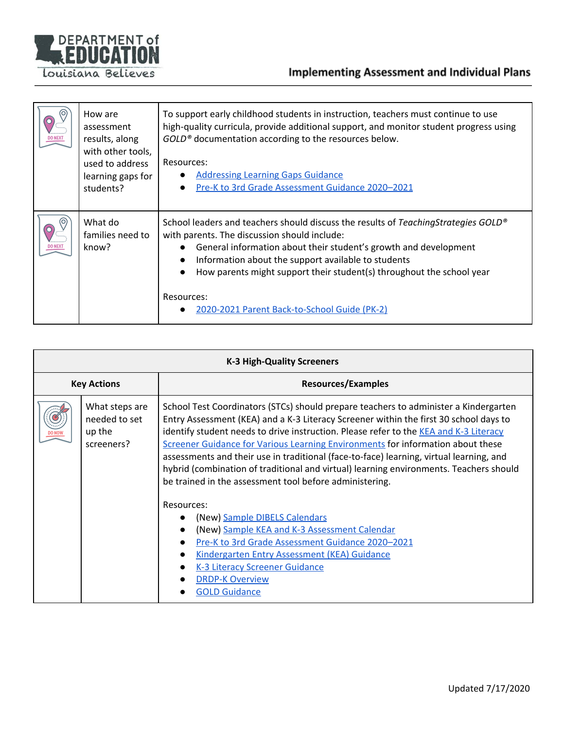

|                | How are<br>assessment<br>results, along<br>with other tools,<br>used to address<br>learning gaps for<br>students? | To support early childhood students in instruction, teachers must continue to use<br>high-quality curricula, provide additional support, and monitor student progress using<br>GOLD <sup>®</sup> documentation according to the resources below.<br>Resources:<br><b>Addressing Learning Gaps Guidance</b><br>Pre-K to 3rd Grade Assessment Guidance 2020–2021                                       |
|----------------|-------------------------------------------------------------------------------------------------------------------|------------------------------------------------------------------------------------------------------------------------------------------------------------------------------------------------------------------------------------------------------------------------------------------------------------------------------------------------------------------------------------------------------|
| <b>DO NEXT</b> | What do<br>families need to<br>know?                                                                              | School leaders and teachers should discuss the results of TeachingStrategies GOLD®<br>with parents. The discussion should include:<br>General information about their student's growth and development<br>Information about the support available to students<br>How parents might support their student(s) throughout the school year<br>Resources:<br>2020-2021 Parent Back-to-School Guide (PK-2) |

<span id="page-1-0"></span>

| <b>K-3 High-Quality Screeners</b> |                                                         |                                                                                                                                                                                                                                                                                                                                                                                                                                                                                                                                                                                                                                                                                                                                                                                                                                                                                                                                                       |  |
|-----------------------------------|---------------------------------------------------------|-------------------------------------------------------------------------------------------------------------------------------------------------------------------------------------------------------------------------------------------------------------------------------------------------------------------------------------------------------------------------------------------------------------------------------------------------------------------------------------------------------------------------------------------------------------------------------------------------------------------------------------------------------------------------------------------------------------------------------------------------------------------------------------------------------------------------------------------------------------------------------------------------------------------------------------------------------|--|
| <b>Key Actions</b>                |                                                         | <b>Resources/Examples</b>                                                                                                                                                                                                                                                                                                                                                                                                                                                                                                                                                                                                                                                                                                                                                                                                                                                                                                                             |  |
|                                   | What steps are<br>needed to set<br>up the<br>screeners? | School Test Coordinators (STCs) should prepare teachers to administer a Kindergarten<br>Entry Assessment (KEA) and a K-3 Literacy Screener within the first 30 school days to<br>identify student needs to drive instruction. Please refer to the KEA and K-3 Literacy<br>Screener Guidance for Various Learning Environments for information about these<br>assessments and their use in traditional (face-to-face) learning, virtual learning, and<br>hybrid (combination of traditional and virtual) learning environments. Teachers should<br>be trained in the assessment tool before administering.<br>Resources:<br>(New) Sample DIBELS Calendars<br>(New) Sample KEA and K-3 Assessment Calendar<br>$\bullet$<br>Pre-K to 3rd Grade Assessment Guidance 2020-2021<br><b>Kindergarten Entry Assessment (KEA) Guidance</b><br>$\bullet$<br><b>K-3 Literacy Screener Guidance</b><br>$\bullet$<br><b>DRDP-K Overview</b><br><b>GOLD Guidance</b> |  |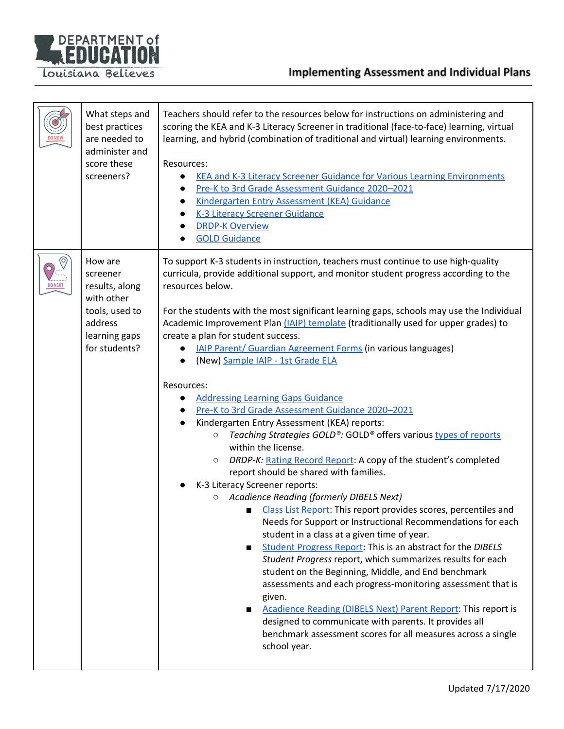

|              | What steps and<br>best practices<br>are needed to<br>administer and<br>score these<br>screeners?                   | Teachers should refer to the resources below for instructions on administering and<br>scoring the KEA and K-3 Literacy Screener in traditional (face-to-face) learning, virtual<br>learning, and hybrid (combination of traditional and virtual) learning environments.<br>Resources:<br><b>KEA and K-3 Literacy Screener Guidance for Various Learning Environments</b><br>$\bullet$<br>Pre-K to 3rd Grade Assessment Guidance 2020-2021<br>Kindergarten Entry Assessment (KEA) Guidance<br>$\bullet$<br><b>K-3 Literacy Screener Guidance</b><br><b>DRDP-K Overview</b><br><b>GOLD Guidance</b>                                                                                                                                                                                                                                                                                                                                                                                                                                                                                                                                                                                                                                                                                                                                                                                                                                                                                                                                                                                                                                                                                  |
|--------------|--------------------------------------------------------------------------------------------------------------------|------------------------------------------------------------------------------------------------------------------------------------------------------------------------------------------------------------------------------------------------------------------------------------------------------------------------------------------------------------------------------------------------------------------------------------------------------------------------------------------------------------------------------------------------------------------------------------------------------------------------------------------------------------------------------------------------------------------------------------------------------------------------------------------------------------------------------------------------------------------------------------------------------------------------------------------------------------------------------------------------------------------------------------------------------------------------------------------------------------------------------------------------------------------------------------------------------------------------------------------------------------------------------------------------------------------------------------------------------------------------------------------------------------------------------------------------------------------------------------------------------------------------------------------------------------------------------------------------------------------------------------------------------------------------------------|
| O<br>DO NEXT | How are<br>screener<br>results, along<br>with other<br>tools, used to<br>address<br>learning gaps<br>for students? | To support K-3 students in instruction, teachers must continue to use high-quality<br>curricula, provide additional support, and monitor student progress according to the<br>resources below.<br>For the students with the most significant learning gaps, schools may use the Individual<br>Academic Improvement Plan (IAIP) template (traditionally used for upper grades) to<br>create a plan for student success.<br><b>IAIP Parent/ Guardian Agreement Forms (in various languages)</b><br>(New) Sample IAIP - 1st Grade ELA<br>Resources:<br><b>Addressing Learning Gaps Guidance</b><br>Pre-K to 3rd Grade Assessment Guidance 2020-2021<br>Kindergarten Entry Assessment (KEA) reports:<br>Teaching Strategies GOLD®: GOLD® offers various types of reports<br>$\bigcirc$<br>within the license.<br>DRDP-K: Rating Record Report: A copy of the student's completed<br>$\circ$<br>report should be shared with families.<br>K-3 Literacy Screener reports:<br>Acadience Reading (formerly DIBELS Next)<br>$\circ$<br>Class List Report: This report provides scores, percentiles and<br>Needs for Support or Instructional Recommendations for each<br>student in a class at a given time of year.<br>Student Progress Report: This is an abstract for the DIBELS<br>Student Progress report, which summarizes results for each<br>student on the Beginning, Middle, and End benchmark<br>assessments and each progress-monitoring assessment that is<br>given.<br>Acadience Reading (DIBELS Next) Parent Report: This report is<br>designed to communicate with parents. It provides all<br>benchmark assessment scores for all measures across a single<br>school year. |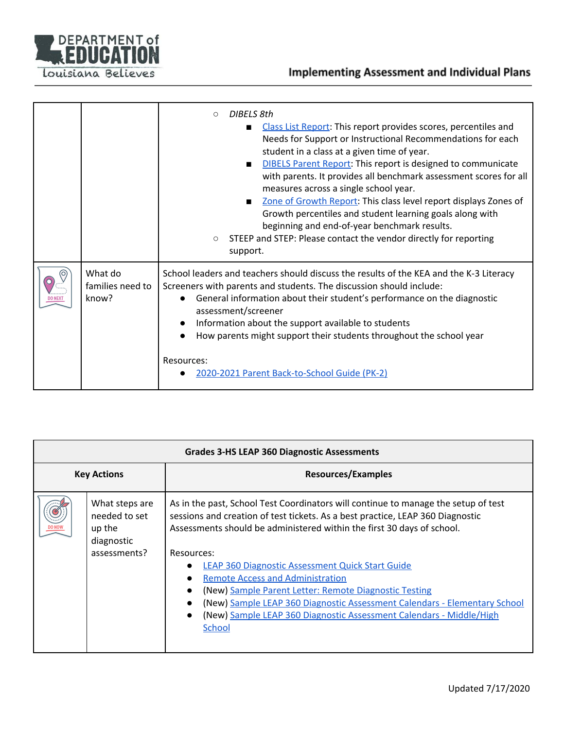

|                |                                      | DIBFLS 8th<br>$\circ$<br>Class List Report: This report provides scores, percentiles and<br>Needs for Support or Instructional Recommendations for each<br>student in a class at a given time of year.<br><b>DIBELS Parent Report: This report is designed to communicate</b><br>$\blacksquare$<br>with parents. It provides all benchmark assessment scores for all<br>measures across a single school year.<br>Zone of Growth Report: This class level report displays Zones of<br>Growth percentiles and student learning goals along with<br>beginning and end-of-year benchmark results.<br>STEEP and STEP: Please contact the vendor directly for reporting<br>$\circlearrowright$<br>support. |
|----------------|--------------------------------------|------------------------------------------------------------------------------------------------------------------------------------------------------------------------------------------------------------------------------------------------------------------------------------------------------------------------------------------------------------------------------------------------------------------------------------------------------------------------------------------------------------------------------------------------------------------------------------------------------------------------------------------------------------------------------------------------------|
| <b>DO NEXT</b> | What do<br>families need to<br>know? | School leaders and teachers should discuss the results of the KEA and the K-3 Literacy<br>Screeners with parents and students. The discussion should include:<br>General information about their student's performance on the diagnostic<br>$\bullet$<br>assessment/screener<br>Information about the support available to students<br>$\bullet$<br>How parents might support their students throughout the school year<br>Resources:<br>2020-2021 Parent Back-to-School Guide (PK-2)                                                                                                                                                                                                                |

<span id="page-3-0"></span>

| <b>Grades 3-HS LEAP 360 Diagnostic Assessments</b> |                                                                         |                                                                                                                                                                                                                                                                                                                                                                                                                                                                                                                                                                                                                                                            |
|----------------------------------------------------|-------------------------------------------------------------------------|------------------------------------------------------------------------------------------------------------------------------------------------------------------------------------------------------------------------------------------------------------------------------------------------------------------------------------------------------------------------------------------------------------------------------------------------------------------------------------------------------------------------------------------------------------------------------------------------------------------------------------------------------------|
| <b>Key Actions</b>                                 |                                                                         | <b>Resources/Examples</b>                                                                                                                                                                                                                                                                                                                                                                                                                                                                                                                                                                                                                                  |
|                                                    | What steps are<br>needed to set<br>up the<br>diagnostic<br>assessments? | As in the past, School Test Coordinators will continue to manage the setup of test<br>sessions and creation of test tickets. As a best practice, LEAP 360 Diagnostic<br>Assessments should be administered within the first 30 days of school.<br>Resources:<br><b>LEAP 360 Diagnostic Assessment Quick Start Guide</b><br>$\bullet$<br><b>Remote Access and Administration</b><br>$\bullet$<br>(New) Sample Parent Letter: Remote Diagnostic Testing<br>$\bullet$<br>(New) Sample LEAP 360 Diagnostic Assessment Calendars - Elementary School<br>$\bullet$<br>(New) Sample LEAP 360 Diagnostic Assessment Calendars - Middle/High<br>$\bullet$<br>School |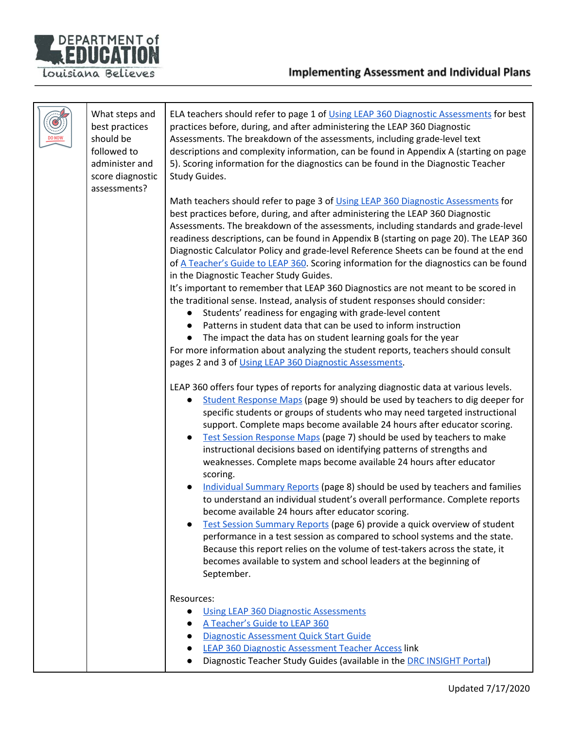

|  | What steps and<br>best practices<br>should be<br>followed to<br>administer and<br>score diagnostic<br>assessments? | ELA teachers should refer to page 1 of Using LEAP 360 Diagnostic Assessments for best<br>practices before, during, and after administering the LEAP 360 Diagnostic<br>Assessments. The breakdown of the assessments, including grade-level text<br>descriptions and complexity information, can be found in Appendix A (starting on page<br>5). Scoring information for the diagnostics can be found in the Diagnostic Teacher<br>Study Guides.<br>Math teachers should refer to page 3 of Using LEAP 360 Diagnostic Assessments for<br>best practices before, during, and after administering the LEAP 360 Diagnostic                                       |
|--|--------------------------------------------------------------------------------------------------------------------|--------------------------------------------------------------------------------------------------------------------------------------------------------------------------------------------------------------------------------------------------------------------------------------------------------------------------------------------------------------------------------------------------------------------------------------------------------------------------------------------------------------------------------------------------------------------------------------------------------------------------------------------------------------|
|  |                                                                                                                    | Assessments. The breakdown of the assessments, including standards and grade-level<br>readiness descriptions, can be found in Appendix B (starting on page 20). The LEAP 360<br>Diagnostic Calculator Policy and grade-level Reference Sheets can be found at the end<br>of A Teacher's Guide to LEAP 360. Scoring information for the diagnostics can be found<br>in the Diagnostic Teacher Study Guides.<br>It's important to remember that LEAP 360 Diagnostics are not meant to be scored in<br>the traditional sense. Instead, analysis of student responses should consider:<br>Students' readiness for engaging with grade-level content<br>$\bullet$ |
|  |                                                                                                                    | Patterns in student data that can be used to inform instruction<br>The impact the data has on student learning goals for the year<br>$\bullet$<br>For more information about analyzing the student reports, teachers should consult<br>pages 2 and 3 of Using LEAP 360 Diagnostic Assessments.                                                                                                                                                                                                                                                                                                                                                               |
|  |                                                                                                                    | LEAP 360 offers four types of reports for analyzing diagnostic data at various levels.<br>Student Response Maps (page 9) should be used by teachers to dig deeper for<br>$\bullet$<br>specific students or groups of students who may need targeted instructional<br>support. Complete maps become available 24 hours after educator scoring.<br>Test Session Response Maps (page 7) should be used by teachers to make<br>$\bullet$<br>instructional decisions based on identifying patterns of strengths and<br>weaknesses. Complete maps become available 24 hours after educator<br>scoring.                                                             |
|  |                                                                                                                    | Individual Summary Reports (page 8) should be used by teachers and families<br>$\bullet$<br>to understand an individual student's overall performance. Complete reports<br>become available 24 hours after educator scoring.<br>Test Session Summary Reports (page 6) provide a quick overview of student<br>performance in a test session as compared to school systems and the state.<br>Because this report relies on the volume of test-takers across the state, it<br>becomes available to system and school leaders at the beginning of<br>September.                                                                                                  |
|  |                                                                                                                    | Resources:<br><b>Using LEAP 360 Diagnostic Assessments</b><br>$\bullet$<br>A Teacher's Guide to LEAP 360<br>Diagnostic Assessment Quick Start Guide<br><b>LEAP 360 Diagnostic Assessment Teacher Access link</b><br>$\bullet$<br>Diagnostic Teacher Study Guides (available in the DRC INSIGHT Portal)                                                                                                                                                                                                                                                                                                                                                       |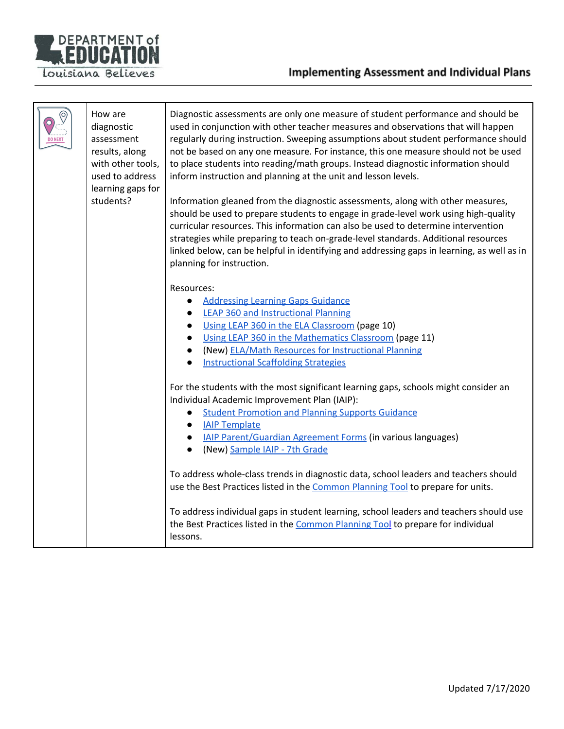

|  | How are<br>diagnostic<br>assessment<br>results, along<br>with other tools,<br>used to address<br>learning gaps for<br>students? | Diagnostic assessments are only one measure of student performance and should be<br>used in conjunction with other teacher measures and observations that will happen<br>regularly during instruction. Sweeping assumptions about student performance should<br>not be based on any one measure. For instance, this one measure should not be used<br>to place students into reading/math groups. Instead diagnostic information should<br>inform instruction and planning at the unit and lesson levels.<br>Information gleaned from the diagnostic assessments, along with other measures,<br>should be used to prepare students to engage in grade-level work using high-quality<br>curricular resources. This information can also be used to determine intervention<br>strategies while preparing to teach on-grade-level standards. Additional resources<br>linked below, can be helpful in identifying and addressing gaps in learning, as well as in<br>planning for instruction. |
|--|---------------------------------------------------------------------------------------------------------------------------------|-------------------------------------------------------------------------------------------------------------------------------------------------------------------------------------------------------------------------------------------------------------------------------------------------------------------------------------------------------------------------------------------------------------------------------------------------------------------------------------------------------------------------------------------------------------------------------------------------------------------------------------------------------------------------------------------------------------------------------------------------------------------------------------------------------------------------------------------------------------------------------------------------------------------------------------------------------------------------------------------|
|  |                                                                                                                                 | Resources:<br><b>Addressing Learning Gaps Guidance</b><br>$\bullet$<br><b>LEAP 360 and Instructional Planning</b><br>$\bullet$<br>Using LEAP 360 in the ELA Classroom (page 10)<br>$\bullet$<br>Using LEAP 360 in the Mathematics Classroom (page 11)<br>$\bullet$<br>(New) ELA/Math Resources for Instructional Planning<br>$\bullet$<br><b>Instructional Scaffolding Strategies</b>                                                                                                                                                                                                                                                                                                                                                                                                                                                                                                                                                                                                     |
|  |                                                                                                                                 | For the students with the most significant learning gaps, schools might consider an<br>Individual Academic Improvement Plan (IAIP):<br><b>Student Promotion and Planning Supports Guidance</b><br>$\bullet$<br><b>IAIP Template</b><br>$\bullet$<br>• <b>IAIP Parent/Guardian Agreement Forms</b> (in various languages)<br>(New) Sample IAIP - 7th Grade<br>$\bullet$<br>To address whole-class trends in diagnostic data, school leaders and teachers should<br>use the Best Practices listed in the Common Planning Tool to prepare for units.<br>To address individual gaps in student learning, school leaders and teachers should use<br>the Best Practices listed in the Common Planning Tool to prepare for individual<br>lessons.                                                                                                                                                                                                                                                |